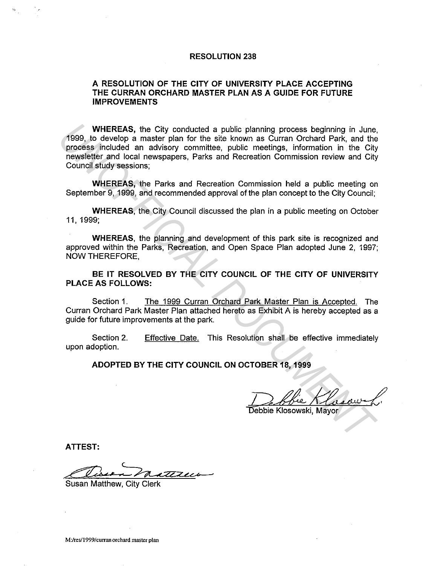## **RESOLUTION 238**

## **A RESOLUTION OF THE CITY OF UNIVERSITY PLACE ACCEPTING THE CURRAN ORCHARD MASTER PLAN AS A GUIDE FOR FUTURE IMPROVEMENTS**

**WHEREAS,** the City conducted a public planning process beginning in June, 1999, to develop a master plan for the site known as Curran Orchard Park, and the process included an advisory committee, public meetings, information in the City newsletter and local newspapers, Parks and Recreation Commission review and City Council study sessions; WHEREAS, the City conducted a public planning process beginning in June,<br>1999, to develop a mater plan for the site known as Curran Orchard Park, and the<br>process included an advisory committee, public meetings, information

**WHEREAS,** the Parks and Recreation Commission held a public meeting on September 9, 1999, and recommended approval of the plan concept to the City Council;

**WHEREAS,** the City Council discussed the plan in a public meeting on October 11, 1999;

**WHEREAS,** the planning and development of this park site is recognized and approved within the Parks, Recreation, and Open Space Plan adopted June 2, 1997; NOW THEREFORE,

**BE IT RESOLVED BY THE CITY COUNCIL OF THE CITY OF UNIVERSITY PLACE AS FOLLOWS:** 

Section 1. The 1999 Curran Orchard Park Master Plan is Accepted. The Curran Orchard Park Master Plan attached hereto as Exhibit A is hereby accepted as a guide for future improvements at the park.

Section 2. upon adoption. Effective Date. This Resolution shall be effective immediately

**ADOPTED BY THE CITY COUNCIL ON OCTOBER 18, 1999** 

**ATTEST:** 

Susan Matthew, City Clerk

**M:/res/1999/curranorchard master plan**